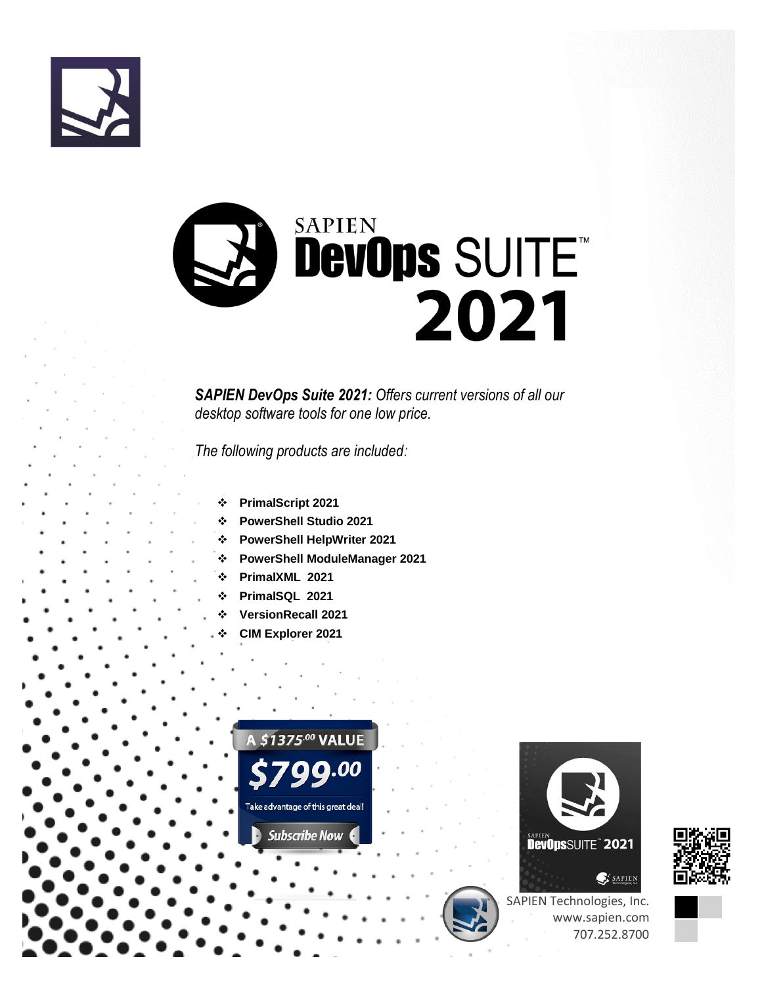



*SAPIEN DevOps Suite 2021: Offers current versions of all our desktop software tools for one low price.* 

*The following products are included:*

- ❖ **PrimalScript 2021**
- ❖ **PowerShell Studio 2021**
- ❖ **PowerShell HelpWriter 2021**
- ❖ **PowerShell ModuleManager 2021**
- ❖ **PrimalXML 2021**
- ❖ **PrimalSQL 2021**
- ❖ **VersionRecall 2021**
- ❖ **CIM Explorer 2021**







SAPIEN Technologies, Inc. www.sapien.com 707.252.8700